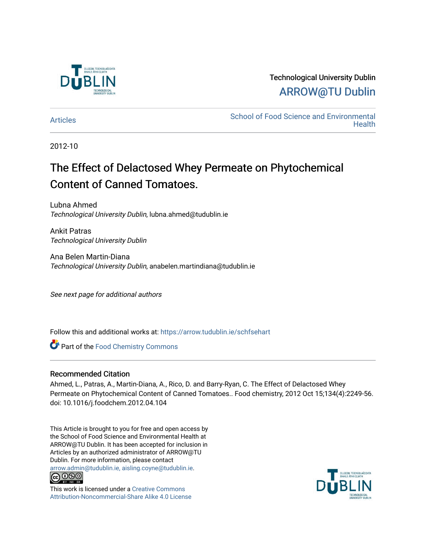

## Technological University Dublin [ARROW@TU Dublin](https://arrow.tudublin.ie/)

[Articles](https://arrow.tudublin.ie/schfsehart) **School of Food Science and Environmental Health** 

2012-10

# The Effect of Delactosed Whey Permeate on Phytochemical Content of Canned Tomatoes.

Lubna Ahmed Technological University Dublin, lubna.ahmed@tudublin.ie

Ankit Patras Technological University Dublin

Ana Belen Martin-Diana Technological University Dublin, anabelen.martindiana@tudublin.ie

See next page for additional authors

Follow this and additional works at: [https://arrow.tudublin.ie/schfsehart](https://arrow.tudublin.ie/schfsehart?utm_source=arrow.tudublin.ie%2Fschfsehart%2F109&utm_medium=PDF&utm_campaign=PDFCoverPages) 

**Part of the Food Chemistry Commons** 

## Recommended Citation

Ahmed, L., Patras, A., Martin-Diana, A., Rico, D. and Barry-Ryan, C. The Effect of Delactosed Whey Permeate on Phytochemical Content of Canned Tomatoes.. Food chemistry, 2012 Oct 15;134(4):2249-56. doi: 10.1016/j.foodchem.2012.04.104

This Article is brought to you for free and open access by the School of Food Science and Environmental Health at ARROW@TU Dublin. It has been accepted for inclusion in Articles by an authorized administrator of ARROW@TU Dublin. For more information, please contact [arrow.admin@tudublin.ie, aisling.coyne@tudublin.ie](mailto:arrow.admin@tudublin.ie,%20aisling.coyne@tudublin.ie).



This work is licensed under a [Creative Commons](http://creativecommons.org/licenses/by-nc-sa/4.0/) [Attribution-Noncommercial-Share Alike 4.0 License](http://creativecommons.org/licenses/by-nc-sa/4.0/)

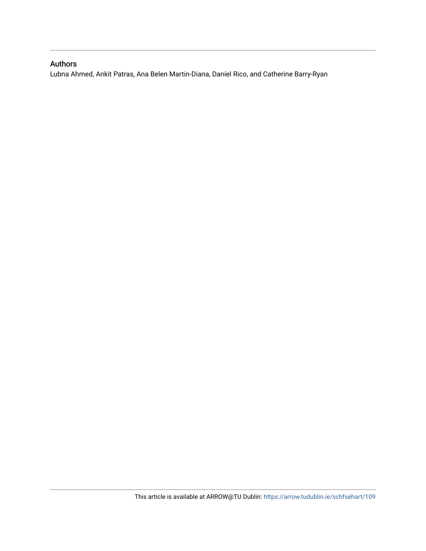## Authors

Lubna Ahmed, Ankit Patras, Ana Belen Martin-Diana, Daniel Rico, and Catherine Barry-Ryan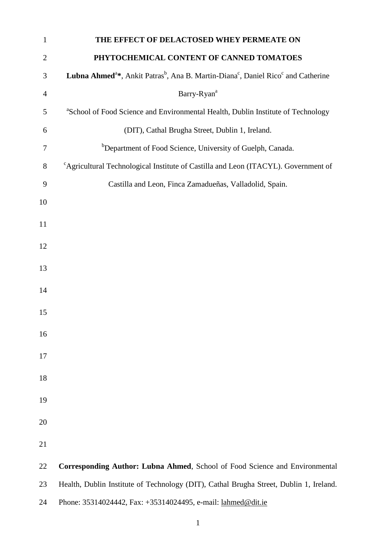| $\mathbf{1}$   | THE EFFECT OF DELACTOSED WHEY PERMEATE ON                                                                                         |
|----------------|-----------------------------------------------------------------------------------------------------------------------------------|
| $\overline{2}$ | PHYTOCHEMICAL CONTENT OF CANNED TOMATOES                                                                                          |
| 3              | Lubna Ahmed <sup>a*</sup> , Ankit Patras <sup>b</sup> , Ana B. Martin-Diana <sup>c</sup> , Daniel Rico <sup>c</sup> and Catherine |
| $\overline{4}$ | Barry-Ryan <sup>a</sup>                                                                                                           |
| 5              | <sup>a</sup> School of Food Science and Environmental Health, Dublin Institute of Technology                                      |
| 6              | (DIT), Cathal Brugha Street, Dublin 1, Ireland.                                                                                   |
| 7              | <sup>b</sup> Department of Food Science, University of Guelph, Canada.                                                            |
| 8              | <sup>c</sup> Agricultural Technological Institute of Castilla and Leon (ITACYL). Government of                                    |
| 9              | Castilla and Leon, Finca Zamadueñas, Valladolid, Spain.                                                                           |
| 10             |                                                                                                                                   |
| 11             |                                                                                                                                   |
| 12             |                                                                                                                                   |
| 13             |                                                                                                                                   |
|                |                                                                                                                                   |
| 14             |                                                                                                                                   |
| 15             |                                                                                                                                   |
| 16             |                                                                                                                                   |
| 17             |                                                                                                                                   |
| 18             |                                                                                                                                   |
| 19             |                                                                                                                                   |
|                |                                                                                                                                   |
| 20             |                                                                                                                                   |
| 21             |                                                                                                                                   |
| 22             | Corresponding Author: Lubna Ahmed, School of Food Science and Environmental                                                       |
| 23             | Health, Dublin Institute of Technology (DIT), Cathal Brugha Street, Dublin 1, Ireland.                                            |
| 24             | Phone: 35314024442, Fax: +35314024495, e-mail: lahmed@dit.ie                                                                      |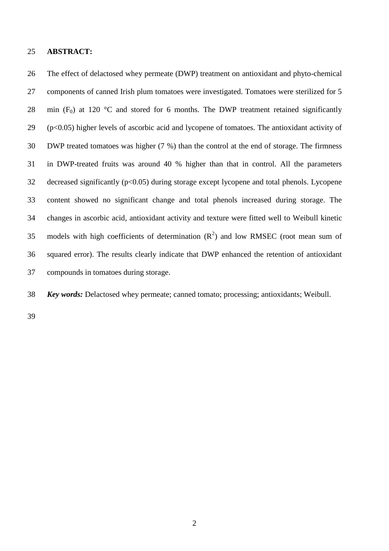#### **ABSTRACT:**

 The effect of delactosed whey permeate (DWP) treatment on antioxidant and phyto-chemical components of canned Irish plum tomatoes were investigated. Tomatoes were sterilized for 5 28 min  $(F_0)$  at 120 °C and stored for 6 months. The DWP treatment retained significantly (p<0.05) higher levels of ascorbic acid and lycopene of tomatoes. The antioxidant activity of DWP treated tomatoes was higher (7 %) than the control at the end of storage. The firmness in DWP-treated fruits was around 40 % higher than that in control. All the parameters decreased significantly (p<0.05) during storage except lycopene and total phenols. Lycopene content showed no significant change and total phenols increased during storage. The changes in ascorbic acid, antioxidant activity and texture were fitted well to Weibull kinetic 35 models with high coefficients of determination  $(R^2)$  and low RMSEC (root mean sum of squared error). The results clearly indicate that DWP enhanced the retention of antioxidant compounds in tomatoes during storage.

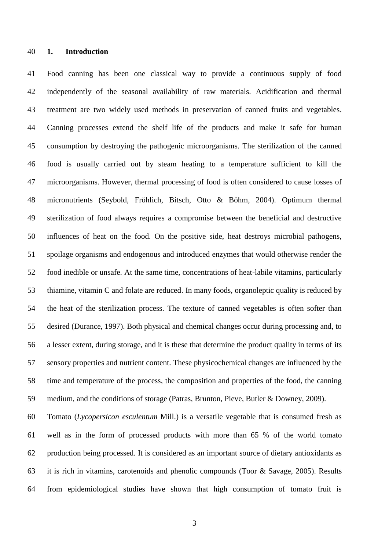#### **1. Introduction**

 Food canning has been one classical way to provide a continuous supply of food independently of the seasonal availability of raw materials. Acidification and thermal treatment are two widely used methods in preservation of canned fruits and vegetables. Canning processes extend the shelf life of the products and make it safe for human consumption by destroying the pathogenic microorganisms. The sterilization of the canned food is usually carried out by steam heating to a temperature sufficient to kill the microorganisms. However, thermal processing of food is often considered to cause losses of micronutrients (Seybold, Fröhlich, Bitsch, Otto & Böhm, 2004). Optimum thermal sterilization of food always requires a compromise between the beneficial and destructive influences of heat on the food. On the positive side, heat destroys microbial pathogens, spoilage organisms and endogenous and introduced enzymes that would otherwise render the food inedible or unsafe. At the same time, concentrations of heat-labile vitamins, particularly thiamine, vitamin C and folate are reduced. In many foods, organoleptic quality is reduced by the heat of the sterilization process. The texture of canned vegetables is often softer than desired (Durance, 1997). Both physical and chemical changes occur during processing and, to a lesser extent, during storage, and it is these that determine the product quality in terms of its sensory properties and nutrient content. These physicochemical changes are influenced by the time and temperature of the process, the composition and properties of the food, the canning medium, and the conditions of storage (Patras, Brunton, Pieve, Butler & Downey, 2009).

 Tomato (*Lycopersicon esculentum* Mill.) is a versatile vegetable that is consumed fresh as well as in the form of processed products with more than 65 % of the world tomato production being processed. It is considered as an important source of dietary antioxidants as it is rich in vitamins, carotenoids and phenolic compounds (Toor & Savage, 2005). Results from epidemiological studies have shown that high consumption of tomato fruit is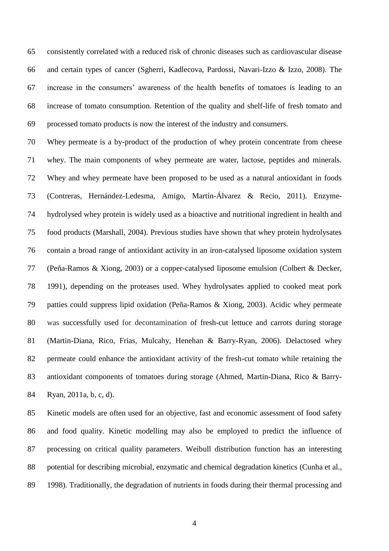consistently correlated with a reduced risk of chronic diseases such as cardiovascular disease and certain types of cancer (Sgherri, Kadlecova, Pardossi, Navari-Izzo & Izzo, 2008). The increase in the consumers' awareness of the health benefits of tomatoes is leading to an increase of tomato consumption. Retention of the quality and shelf-life of fresh tomato and processed tomato products is now the interest of the industry and consumers.

 Whey permeate is a by-product of the production of whey protein concentrate from cheese whey. The main components of whey permeate are water, lactose, peptides and minerals. Whey and whey permeate have been proposed to be used as a natural antioxidant in foods (Contreras, Hernández-Ledesma, Amigo, Martín-Álvarez & Recio, 2011). Enzyme- hydrolysed whey protein is widely used as a bioactive and nutritional ingredient in health and food products (Marshall, 2004). Previous studies have shown that whey protein hydrolysates contain a broad range of antioxidant activity in an iron-catalysed liposome oxidation system (Peña-Ramos & Xiong, 2003) or a copper-catalysed liposome emulsion (Colbert & Decker, 1991), depending on the proteases used. Whey hydrolysates applied to cooked meat pork patties could suppress lipid oxidation (Peña-Ramos & Xiong, 2003). Acidic whey permeate was successfully used for decontamination of fresh-cut lettuce and carrots during storage (Martin-Diana, Rico, Frias, Mulcahy, Henehan & Barry-Ryan, 2006). Delactosed whey permeate could enhance the antioxidant activity of the fresh-cut tomato while retaining the antioxidant components of tomatoes during storage (Ahmed, Martin-Diana, Rico & Barry-Ryan, 2011a, b, c, d).

 Kinetic models are often used for an objective, fast and economic assessment of food safety and food quality. Kinetic modelling may also be employed to predict the influence of processing on critical quality parameters. Weibull distribution function has an interesting potential for describing microbial, enzymatic and chemical degradation kinetics (Cunha et al., 1998). Traditionally, the degradation of nutrients in foods during their thermal processing and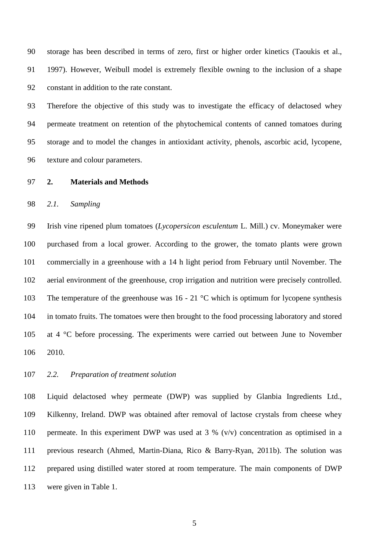storage has been described in terms of zero, first or higher order kinetics (Taoukis et al., 1997). However, Weibull model is extremely flexible owning to the inclusion of a shape constant in addition to the rate constant.

 Therefore the objective of this study was to investigate the efficacy of delactosed whey permeate treatment on retention of the phytochemical contents of canned tomatoes during storage and to model the changes in antioxidant activity, phenols, ascorbic acid, lycopene, texture and colour parameters.

**2. Materials and Methods**

#### *2.1. Sampling*

 Irish vine ripened plum tomatoes (*Lycopersicon esculentum* L. Mill.) cv. Moneymaker were purchased from a local grower. According to the grower, the tomato plants were grown commercially in a greenhouse with a 14 h light period from February until November. The aerial environment of the greenhouse, crop irrigation and nutrition were precisely controlled. 103 The temperature of the greenhouse was 16 - 21 °C which is optimum for lycopene synthesis in tomato fruits. The tomatoes were then brought to the food processing laboratory and stored at 4 °C before processing. The experiments were carried out between June to November 2010.

#### *2.2. Preparation of treatment solution*

 Liquid delactosed whey permeate (DWP) was supplied by Glanbia Ingredients Ltd., Kilkenny, Ireland. DWP was obtained after removal of lactose crystals from cheese whey permeate. In this experiment DWP was used at 3 % (v/v) concentration as optimised in a previous research (Ahmed, Martin-Diana, Rico & Barry-Ryan, 2011b). The solution was prepared using distilled water stored at room temperature. The main components of DWP were given in Table 1.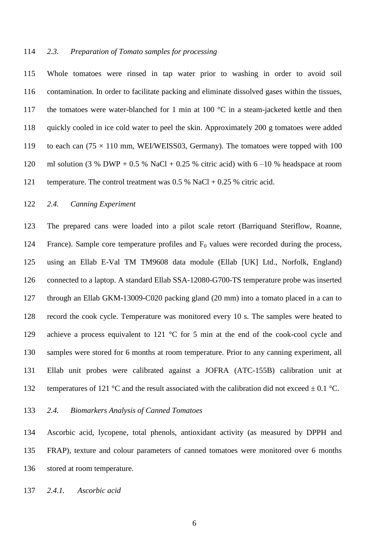#### *2.3. Preparation of Tomato samples for processing*

 Whole tomatoes were rinsed in tap water prior to washing in order to avoid soil contamination. In order to facilitate packing and eliminate dissolved gases within the tissues, 117 the tomatoes were water-blanched for 1 min at 100 °C in a steam-jacketed kettle and then quickly cooled in ice cold water to peel the skin. Approximately 200 g tomatoes were added 119 to each can  $(75 \times 110 \text{ mm}, \text{WEI/WEISS03}, \text{Germany})$ . The tomatoes were topped with 100 120 ml solution (3 % DWP + 0.5 % NaCl + 0.25 % citric acid) with  $6-10$  % headspace at room temperature. The control treatment was 0.5 % NaCl + 0.25 % citric acid.

## *2.4. Canning Experiment*

 The prepared cans were loaded into a pilot scale retort (Barriquand Steriflow, Roanne, 124 France). Sample core temperature profiles and  $F_0$  values were recorded during the process, using an Ellab E-Val TM TM9608 data module (Ellab [UK] Ltd., Norfolk, England) connected to a laptop. A standard Ellab SSA-12080-G700-TS temperature probe was inserted through an Ellab GKM-13009-C020 packing gland (20 mm) into a tomato placed in a can to record the cook cycle. Temperature was monitored every 10 s. The samples were heated to 129 achieve a process equivalent to 121 °C for 5 min at the end of the cook-cool cycle and samples were stored for 6 months at room temperature. Prior to any canning experiment, all Ellab unit probes were calibrated against a JOFRA (ATC-155B) calibration unit at 132 temperatures of 121 °C and the result associated with the calibration did not exceed  $\pm$  0.1 °C.

*2.4. Biomarkers Analysis of Canned Tomatoes*

 Ascorbic acid, lycopene, total phenols, antioxidant activity (as measured by DPPH and FRAP), texture and colour parameters of canned tomatoes were monitored over 6 months stored at room temperature.

*2.4.1. Ascorbic acid*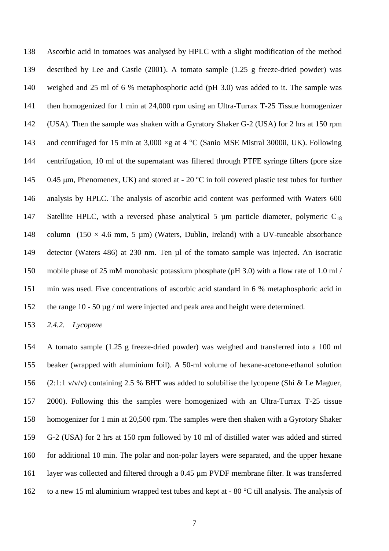Ascorbic acid in tomatoes was analysed by HPLC with a slight modification of the method described by Lee and Castle (2001). A tomato sample (1.25 g freeze-dried powder) was weighed and 25 ml of 6 % metaphosphoric acid (pH 3.0) was added to it. The sample was then homogenized for 1 min at 24,000 rpm using an Ultra-Turrax T-25 Tissue homogenizer (USA). Then the sample was shaken with a Gyratory Shaker G-2 (USA) for 2 hrs at 150 rpm 143 and centrifuged for 15 min at 3,000  $\times$ g at 4 °C (Sanio MSE Mistral 3000ii, UK). Following centrifugation, 10 ml of the supernatant was filtered through PTFE syringe filters (pore size 145 0.45 µm, Phenomenex, UK) and stored at - 20 °C in foil covered plastic test tubes for further analysis by HPLC. The analysis of ascorbic acid content was performed with Waters 600 147 Satellite HPLC, with a reversed phase analytical 5  $\mu$ m particle diameter, polymeric C<sub>18</sub> 148 column  $(150 \times 4.6 \text{ mm}, 5 \text{ \mu m})$  (Waters, Dublin, Ireland) with a UV-tuneable absorbance detector (Waters 486) at 230 nm. Ten µl of the tomato sample was injected. An isocratic mobile phase of 25 mM monobasic potassium phosphate (pH 3.0) with a flow rate of 1.0 ml / min was used. Five concentrations of ascorbic acid standard in 6 % metaphosphoric acid in the range 10 - 50 µg / ml were injected and peak area and height were determined.

*2.4.2. Lycopene* 

 A tomato sample (1.25 g freeze-dried powder) was weighed and transferred into a 100 ml beaker (wrapped with aluminium foil). A 50-ml volume of hexane-acetone-ethanol solution (2:1:1 v/v/v) containing 2.5 % BHT was added to solubilise the lycopene (Shi & Le Maguer, 2000). Following this the samples were homogenized with an Ultra-Turrax T-25 tissue homogenizer for 1 min at 20,500 rpm. The samples were then shaken with a Gyrotory Shaker G-2 (USA) for 2 hrs at 150 rpm followed by 10 ml of distilled water was added and stirred for additional 10 min. The polar and non-polar layers were separated, and the upper hexane layer was collected and filtered through a 0.45 µm PVDF membrane filter. It was transferred to a new 15 ml aluminium wrapped test tubes and kept at - 80 °C till analysis. The analysis of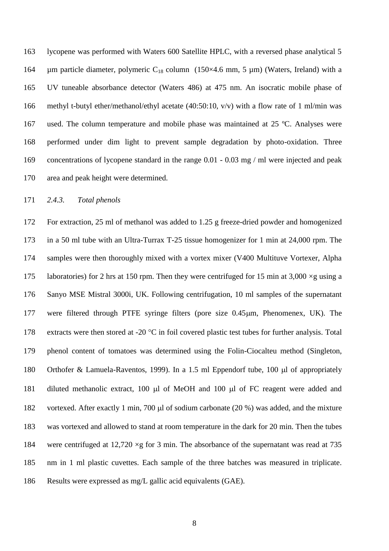lycopene was performed with Waters 600 Satellite HPLC, with a reversed phase analytical 5 164 um particle diameter, polymeric  $C_{18}$  column (150×4.6 mm, 5 µm) (Waters, Ireland) with a UV tuneable absorbance detector (Waters 486) at 475 nm. An isocratic mobile phase of methyl t-butyl ether/methanol/ethyl acetate (40:50:10, v/v) with a flow rate of 1 ml/min was used. The column temperature and mobile phase was maintained at 25 ºC. Analyses were performed under dim light to prevent sample degradation by photo-oxidation. Three concentrations of lycopene standard in the range 0.01 - 0.03 mg / ml were injected and peak area and peak height were determined.

#### *2.4.3. Total phenols*

 For extraction, 25 ml of methanol was added to 1.25 g freeze-dried powder and homogenized in a 50 ml tube with an Ultra-Turrax T-25 tissue homogenizer for 1 min at 24,000 rpm. The samples were then thoroughly mixed with a vortex mixer (V400 Multituve Vortexer, Alpha 175 laboratories) for 2 hrs at 150 rpm. Then they were centrifuged for 15 min at 3,000  $\times$ g using a Sanyo MSE Mistral 3000i, UK. Following centrifugation, 10 ml samples of the supernatant 177 were filtered through PTFE syringe filters (pore size 0.45µm, Phenomenex, UK). The 178 extracts were then stored at -20  $^{\circ}$ C in foil covered plastic test tubes for further analysis. Total phenol content of tomatoes was determined using the Folin-Ciocalteu method (Singleton, 180 Orthofer & Lamuela-Raventos, 1999). In a 1.5 ml Eppendorf tube, 100  $\mu$ l of appropriately 181 diluted methanolic extract, 100  $\mu$ l of MeOH and 100  $\mu$ l of FC reagent were added and 182 vortexed. After exactly 1 min, 700 µl of sodium carbonate (20 %) was added, and the mixture was vortexed and allowed to stand at room temperature in the dark for 20 min. Then the tubes were centrifuged at 12,720 ×g for 3 min. The absorbance of the supernatant was read at 735 nm in 1 ml plastic cuvettes. Each sample of the three batches was measured in triplicate. Results were expressed as mg/L gallic acid equivalents (GAE).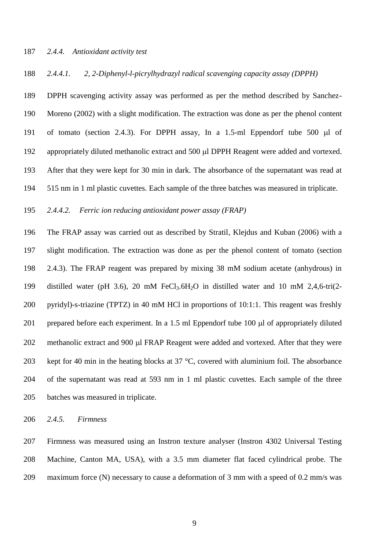#### *2.4.4. Antioxidant activity test*

#### *2.4.4.1. 2, 2-Diphenyl-l-picrylhydrazyl radical scavenging capacity assay (DPPH)*

 DPPH scavenging activity assay was performed as per the method described by Sanchez- Moreno (2002) with a slight modification. The extraction was done as per the phenol content 191 of tomato (section 2.4.3). For DPPH assay, In a 1.5-ml Eppendorf tube 500  $\mu$ l of 192 appropriately diluted methanolic extract and 500 µl DPPH Reagent were added and vortexed. After that they were kept for 30 min in dark. The absorbance of the supernatant was read at 515 nm in 1 ml plastic cuvettes. Each sample of the three batches was measured in triplicate.

*2.4.4.2. Ferric ion reducing antioxidant power assay (FRAP)*

 The FRAP assay was carried out as described by Stratil, Klejdus and Kuban (2006) with a slight modification. The extraction was done as per the phenol content of tomato (section 2.4.3). The FRAP reagent was prepared by mixing 38 mM sodium acetate (anhydrous) in distilled water (pH 3.6), 20 mM FeCl3.6H2O in distilled water and 10 mM 2,4,6-tri(2- pyridyl)-s-triazine (TPTZ) in 40 mM HCl in proportions of 10:1:1. This reagent was freshly 201 prepared before each experiment. In a 1.5 ml Eppendorf tube 100  $\mu$ l of appropriately diluted 202 methanolic extract and 900 µl FRAP Reagent were added and vortexed. After that they were 203 kept for 40 min in the heating blocks at  $37 \degree C$ , covered with aluminium foil. The absorbance of the supernatant was read at 593 nm in 1 ml plastic cuvettes. Each sample of the three batches was measured in triplicate.

*2.4.5. Firmness*

 Firmness was measured using an Instron texture analyser (Instron 4302 Universal Testing Machine, Canton MA, USA), with a 3.5 mm diameter flat faced cylindrical probe. The maximum force (N) necessary to cause a deformation of 3 mm with a speed of 0.2 mm/s was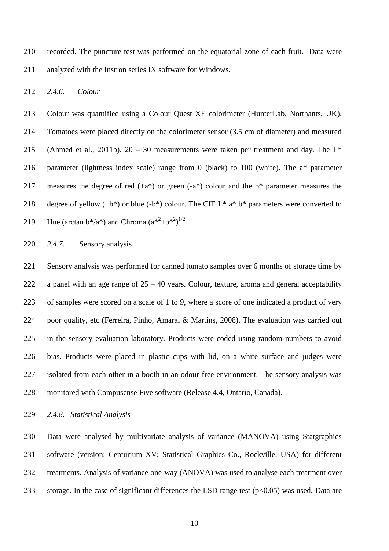recorded. The puncture test was performed on the equatorial zone of each fruit. Data were analyzed with the Instron series IX software for Windows.

*2.4.6. Colour*

 Colour was quantified using a Colour Quest XE colorimeter (HunterLab, Northants, UK). Tomatoes were placed directly on the colorimeter sensor (3.5 cm of diameter) and measured 215 (Ahmed et al., 2011b).  $20 - 30$  measurements were taken per treatment and day. The L<sup>\*</sup> parameter (lightness index scale) range from 0 (black) to 100 (white). The a\* parameter 217 measures the degree of red  $(+a^*)$  or green  $(-a^*)$  colour and the  $b^*$  parameter measures the 218 degree of yellow  $(+b^*)$  or blue  $(-b^*)$  colour. The CIE L<sup>\*</sup> a<sup>\*</sup> b<sup>\*</sup> parameters were converted to 219 Hue (arctan  $b^{*}/a^{*}$ ) and Chroma  $(a^{*2}+b^{*2})^{1/2}$ .

## *2.4.7.* Sensory analysis

 Sensory analysis was performed for canned tomato samples over 6 months of storage time by 222 a panel with an age range of  $25 - 40$  years. Colour, texture, aroma and general acceptability of samples were scored on a scale of 1 to 9, where a score of one indicated a product of very poor quality, etc (Ferreira, Pinho, Amaral & Martins, 2008). The evaluation was carried out in the sensory evaluation laboratory. Products were coded using random numbers to avoid bias. Products were placed in plastic cups with lid, on a white surface and judges were isolated from each-other in a booth in an odour-free environment. The sensory analysis was monitored with Compusense Five software (Release 4.4, Ontario, Canada).

*2.4.8. Statistical Analysis*

 Data were analysed by multivariate analysis of variance (MANOVA) using Statgraphics software (version: Centurium XV; Statistical Graphics Co., Rockville, USA) for different treatments. Analysis of variance one-way (ANOVA) was used to analyse each treatment over 233 storage. In the case of significant differences the LSD range test  $(p<0.05)$  was used. Data are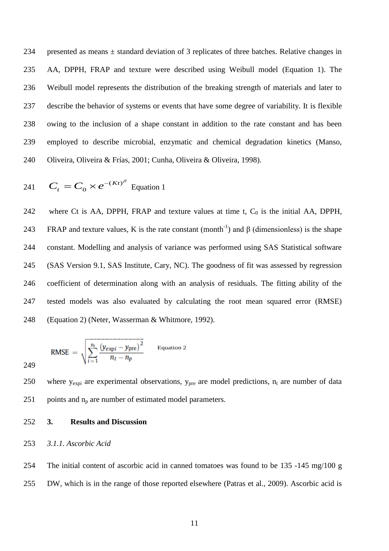presented as means ± standard deviation of 3 replicates of three batches. Relative changes in AA, DPPH, FRAP and texture were described using Weibull model (Equation 1). The Weibull model represents the distribution of the breaking strength of materials and later to describe the behavior of systems or events that have some degree of variability. It is flexible owing to the inclusion of a shape constant in addition to the rate constant and has been employed to describe microbial, enzymatic and chemical degradation kinetics (Manso, Oliveira, Oliveira & Frías, 2001; Cunha, Oliveira & Oliveira, 1998).

241 
$$
C_t = C_0 \times e^{-(Kt)^\beta}
$$
 Equation 1

242 where Ct is AA, DPPH, FRAP and texture values at time t,  $C_0$  is the initial AA, DPPH, 243 FRAP and texture values, K is the rate constant (month<sup>-1</sup>) and β (dimensionless) is the shape constant. Modelling and analysis of variance was performed using SAS Statistical software (SAS Version 9.1, SAS Institute, Cary, NC). The goodness of fit was assessed by regression coefficient of determination along with an analysis of residuals. The fitting ability of the tested models was also evaluated by calculating the root mean squared error (RMSE) (Equation 2) (Neter, Wasserman & Whitmore, 1992).

RMSE = 
$$
\sqrt{\sum_{i=1}^{n_t} \frac{(y_{\text{exp}i} - y_{\text{pre}})^2}{n_t - n_p}}
$$
 Equation 2

250 where  $y_{expi}$  are experimental observations,  $y_{pre}$  are model predictions,  $n_t$  are number of data 251 points and  $n_p$  are number of estimated model parameters.

**3. Results and Discussion**

## *3.1.1. Ascorbic Acid*

 The initial content of ascorbic acid in canned tomatoes was found to be 135 -145 mg/100 g DW, which is in the range of those reported elsewhere (Patras et al., 2009). Ascorbic acid is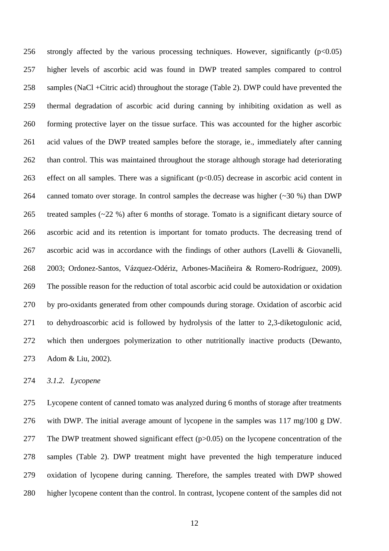256 strongly affected by the various processing techniques. However, significantly  $(p<0.05)$  higher levels of ascorbic acid was found in DWP treated samples compared to control samples (NaCl +Citric acid) throughout the storage (Table 2). DWP could have prevented the thermal degradation of ascorbic acid during canning by inhibiting oxidation as well as forming protective layer on the tissue surface. This was accounted for the higher ascorbic acid values of the DWP treated samples before the storage, ie., immediately after canning than control. This was maintained throughout the storage although storage had deteriorating 263 effect on all samples. There was a significant  $(p<0.05)$  decrease in ascorbic acid content in canned tomato over storage. In control samples the decrease was higher (~30 %) than DWP treated samples (~22 %) after 6 months of storage. Tomato is a significant dietary source of ascorbic acid and its retention is important for tomato products. The decreasing trend of ascorbic acid was in accordance with the findings of other authors (Lavelli & Giovanelli, 2003; Ordonez-Santos, Vázquez-Odériz, Arbones-Maciñeira & Romero-Rodríguez, 2009). The possible reason for the reduction of total ascorbic acid could be autoxidation or oxidation by pro-oxidants generated from other compounds during storage. Oxidation of ascorbic acid to dehydroascorbic acid is followed by hydrolysis of the latter to 2,3-diketogulonic acid, which then undergoes polymerization to other nutritionally inactive products (Dewanto, Adom & Liu, 2002).

*3.1.2. Lycopene* 

 Lycopene content of canned tomato was analyzed during 6 months of storage after treatments with DWP. The initial average amount of lycopene in the samples was 117 mg/100 g DW. The DWP treatment showed significant effect (p>0.05) on the lycopene concentration of the samples (Table 2). DWP treatment might have prevented the high temperature induced oxidation of lycopene during canning. Therefore, the samples treated with DWP showed higher lycopene content than the control. In contrast, lycopene content of the samples did not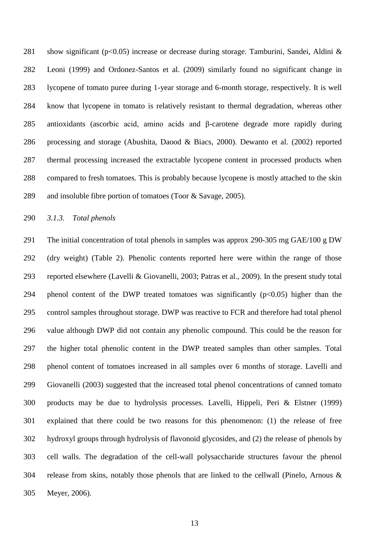281 show significant ( $p<0.05$ ) increase or decrease during storage. Tamburini, Sandei, Aldini & Leoni (1999) and Ordonez-Santos et al. (2009) similarly found no significant change in lycopene of tomato puree during 1-year storage and 6-month storage, respectively. It is well know that lycopene in tomato is relatively resistant to thermal degradation, whereas other antioxidants (ascorbic acid, amino acids and β-carotene degrade more rapidly during processing and storage (Abushita, Daood & Biacs, 2000). Dewanto et al. (2002) reported thermal processing increased the extractable lycopene content in processed products when compared to fresh tomatoes. This is probably because lycopene is mostly attached to the skin and insoluble fibre portion of tomatoes (Toor & Savage, 2005).

*3.1.3. Total phenols* 

 The initial concentration of total phenols in samples was approx 290-305 mg GAE/100 g DW (dry weight) (Table 2). Phenolic contents reported here were within the range of those reported elsewhere (Lavelli & Giovanelli, 2003; Patras et al., 2009). In the present study total 294 phenol content of the DWP treated tomatoes was significantly  $(p<0.05)$  higher than the control samples throughout storage. DWP was reactive to FCR and therefore had total phenol value although DWP did not contain any phenolic compound. This could be the reason for the higher total phenolic content in the DWP treated samples than other samples. Total phenol content of tomatoes increased in all samples over 6 months of storage. Lavelli and Giovanelli (2003) suggested that the increased total phenol concentrations of canned tomato products may be due to hydrolysis processes. Lavelli, Hippeli, Peri & Elstner (1999) explained that there could be two reasons for this phenomenon: (1) the release of free hydroxyl groups through hydrolysis of flavonoid glycosides, and (2) the release of phenols by cell walls. The degradation of the cell-wall polysaccharide structures favour the phenol release from skins, notably those phenols that are linked to the cellwall (Pinelo, Arnous & Meyer, 2006).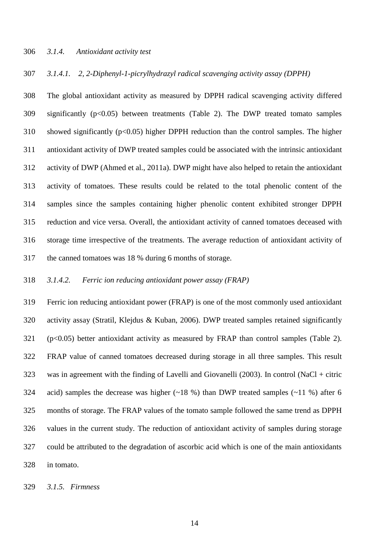#### *3.1.4. Antioxidant activity test*

#### *3.1.4.1. 2, 2-Diphenyl-1-picrylhydrazyl radical scavenging activity assay (DPPH)*

 The global antioxidant activity as measured by DPPH radical scavenging activity differed significantly (p<0.05) between treatments (Table 2). The DWP treated tomato samples showed significantly (p<0.05) higher DPPH reduction than the control samples. The higher antioxidant activity of DWP treated samples could be associated with the intrinsic antioxidant activity of DWP (Ahmed et al., 2011a). DWP might have also helped to retain the antioxidant activity of tomatoes. These results could be related to the total phenolic content of the samples since the samples containing higher phenolic content exhibited stronger DPPH reduction and vice versa. Overall, the antioxidant activity of canned tomatoes deceased with storage time irrespective of the treatments. The average reduction of antioxidant activity of the canned tomatoes was 18 % during 6 months of storage.

#### *3.1.4.2. Ferric ion reducing antioxidant power assay (FRAP)*

 Ferric ion reducing antioxidant power (FRAP) is one of the most commonly used antioxidant activity assay (Stratil, Klejdus & Kuban, 2006). DWP treated samples retained significantly (p<0.05) better antioxidant activity as measured by FRAP than control samples (Table 2). FRAP value of canned tomatoes decreased during storage in all three samples. This result was in agreement with the finding of Lavelli and Giovanelli (2003). In control (NaCl + citric acid) samples the decrease was higher (~18 %) than DWP treated samples (~11 %) after 6 months of storage. The FRAP values of the tomato sample followed the same trend as DPPH values in the current study. The reduction of antioxidant activity of samples during storage could be attributed to the degradation of ascorbic acid which is one of the main antioxidants in tomato.

*3.1.5. Firmness*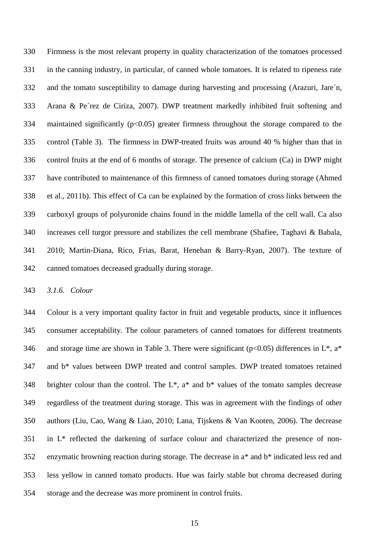Firmness is the most relevant property in quality characterization of the tomatoes processed in the canning industry, in particular, of canned whole tomatoes. It is related to ripeness rate and the tomato susceptibility to damage during harvesting and processing (Arazuri, Jare´n, Arana & Pe´rez de Ciriza, 2007). DWP treatment markedly inhibited fruit softening and 334 maintained significantly (p<0.05) greater firmness throughout the storage compared to the control (Table 3). The firmness in DWP-treated fruits was around 40 % higher than that in control fruits at the end of 6 months of storage. The presence of calcium (Ca) in DWP might have contributed to maintenance of this firmness of canned tomatoes during storage (Ahmed et al., 2011b). This effect of Ca can be explained by the formation of cross links between the carboxyl groups of polyuronide chains found in the middle lamella of the cell wall. Ca also increases cell turgor pressure and stabilizes the cell membrane (Shafiee, Taghavi & Babala, 2010; Martin-Diana, Rico, Frias, Barat, Henehan & Barry-Ryan, 2007). The texture of canned tomatoes decreased gradually during storage.

*3.1.6. Colour*

 Colour is a very important quality factor in fruit and vegetable products, since it influences consumer acceptability. The colour parameters of canned tomatoes for different treatments 346 and storage time are shown in Table 3. There were significant ( $p<0.05$ ) differences in L<sup>\*</sup>, a<sup>\*</sup> and b\* values between DWP treated and control samples. DWP treated tomatoes retained 348 brighter colour than the control. The  $L^*$ ,  $a^*$  and  $b^*$  values of the tomato samples decrease regardless of the treatment during storage. This was in agreement with the findings of other authors (Liu, Cao, Wang & Liao, 2010; Lana, Tijskens & Van Kooten, 2006). The decrease in L\* reflected the darkening of surface colour and characterized the presence of non- enzymatic browning reaction during storage. The decrease in a\* and b\* indicated less red and less yellow in canned tomato products. Hue was fairly stable but chroma decreased during storage and the decrease was more prominent in control fruits.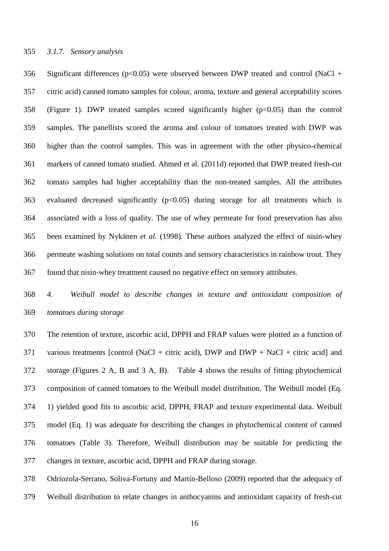356 Significant differences ( $p<0.05$ ) were observed between DWP treated and control (NaCl + citric acid) canned tomato samples for colour, aroma, texture and general acceptability scores (Figure 1). DWP treated samples scored significantly higher (p<0.05) than the control samples. The panellists scored the aroma and colour of tomatoes treated with DWP was higher than the control samples. This was in agreement with the other physico-chemical markers of canned tomato studied. Ahmed et al. (2011d) reported that DWP treated fresh-cut tomato samples had higher acceptability than the non-treated samples. All the attributes 363 evaluated decreased significantly  $(p<0.05)$  during storage for all treatments which is associated with a loss of quality. The use of whey permeate for food preservation has also been examined by Nykänen *et al.* (1998). These authors analyzed the effect of nisin-whey permeate washing solutions on total counts and sensory characteristics in rainbow trout. They found that nisin-whey treatment caused no negative effect on sensory attributes.

 *4. Weibull model to describe changes in texture and antioxidant composition of tomatoes during storage*

 The retention of texture, ascorbic acid, DPPH and FRAP values were plotted as a function of various treatments [control (NaCl + citric acid), DWP and DWP + NaCl + citric acid] and storage (Figures 2 A, B and 3 A, B). Table 4 shows the results of fitting phytochemical composition of canned tomatoes to the Weibull model distribution. The Weibull model (Eq. 1) yielded good fits to ascorbic acid, DPPH, FRAP and texture experimental data. Weibull model (Eq. 1) was adequate for describing the changes in phytochemical content of canned tomatoes (Table 3). Therefore, Weibull distribution may be suitable for predicting the changes in texture, ascorbic acid, DPPH and FRAP during storage.

 Odriozola-Serrano, Soliva-Fortuny and Martín-Belloso (2009) reported that the adequacy of Weibull distribution to relate changes in anthocyanins and antioxidant capacity of fresh-cut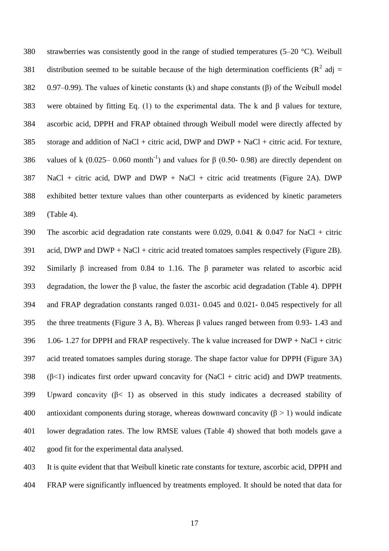strawberries was consistently good in the range of studied temperatures (5–20 °C). Weibull 381 distribution seemed to be suitable because of the high determination coefficients ( $\mathbb{R}^2$  adj = 0.97–0.99). The values of kinetic constants (k) and shape constants (β) of the Weibull model were obtained by fitting Eq. (1) to the experimental data. The k and β values for texture, ascorbic acid, DPPH and FRAP obtained through Weibull model were directly affected by 385 storage and addition of NaCl + citric acid, DWP and DWP + NaCl + citric acid. For texture, 386 values of k (0.025– 0.060 month<sup>-1</sup>) and values for  $\beta$  (0.50- 0.98) are directly dependent on NaCl + citric acid, DWP and DWP + NaCl + citric acid treatments (Figure 2A). DWP exhibited better texture values than other counterparts as evidenced by kinetic parameters (Table 4).

 The ascorbic acid degradation rate constants were 0.029, 0.041 & 0.047 for NaCl + citric 391 acid, DWP and DWP + NaCl + citric acid treated tomatoes samples respectively (Figure 2B). Similarly β increased from 0.84 to 1.16. The β parameter was related to ascorbic acid degradation, the lower the β value, the faster the ascorbic acid degradation (Table 4). DPPH and FRAP degradation constants ranged 0.031- 0.045 and 0.021- 0.045 respectively for all the three treatments (Figure 3 A, B). Whereas β values ranged between from 0.93- 1.43 and 1.06- 1.27 for DPPH and FRAP respectively. The k value increased for DWP + NaCl + citric acid treated tomatoes samples during storage. The shape factor value for DPPH (Figure 3A) 398 ( $\beta$ <1) indicates first order upward concavity for (NaCl + citric acid) and DWP treatments. Upward concavity (β< 1) as observed in this study indicates a decreased stability of 400 antioxidant components during storage, whereas downward concavity  $(\beta > 1)$  would indicate lower degradation rates. The low RMSE values (Table 4) showed that both models gave a good fit for the experimental data analysed.

 It is quite evident that that Weibull kinetic rate constants for texture, ascorbic acid, DPPH and FRAP were significantly influenced by treatments employed. It should be noted that data for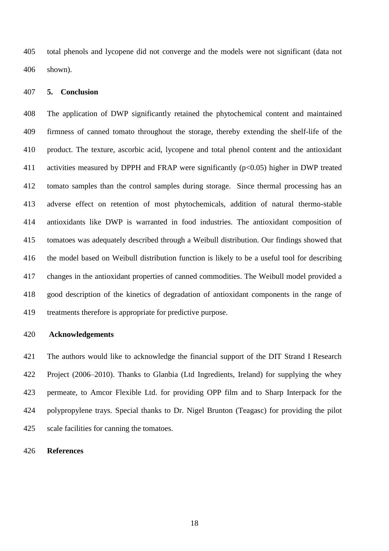total phenols and lycopene did not converge and the models were not significant (data not shown).

### **5. Conclusion**

 The application of DWP significantly retained the phytochemical content and maintained firmness of canned tomato throughout the storage, thereby extending the shelf-life of the product. The texture, ascorbic acid, lycopene and total phenol content and the antioxidant activities measured by DPPH and FRAP were significantly (p<0.05) higher in DWP treated tomato samples than the control samples during storage. Since thermal processing has an adverse effect on retention of most phytochemicals, addition of natural thermo-stable antioxidants like DWP is warranted in food industries. The antioxidant composition of tomatoes was adequately described through a Weibull distribution. Our findings showed that the model based on Weibull distribution function is likely to be a useful tool for describing changes in the antioxidant properties of canned commodities. The Weibull model provided a good description of the kinetics of degradation of antioxidant components in the range of treatments therefore is appropriate for predictive purpose.

## **Acknowledgements**

 The authors would like to acknowledge the financial support of the DIT Strand I Research Project (2006–2010). Thanks to Glanbia (Ltd Ingredients, Ireland) for supplying the whey permeate, to Amcor Flexible Ltd. for providing OPP film and to Sharp Interpack for the polypropylene trays. Special thanks to Dr. Nigel Brunton (Teagasc) for providing the pilot scale facilities for canning the tomatoes.

#### **References**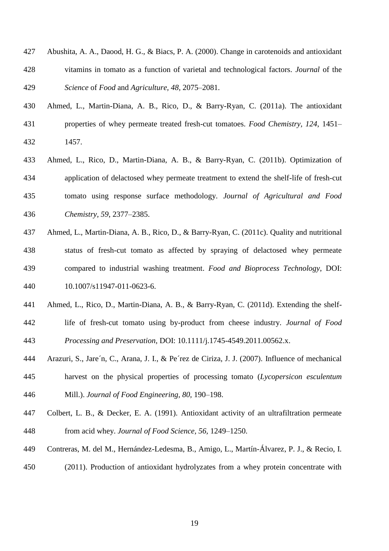- Abushita, A. A., Daood, H. G., & Biacs, P. A. (2000). Change in carotenoids and antioxidant vitamins in tomato as a function of varietal and technological factors. *Journal* of the *Science* of *Food* and *Agriculture, 48,* 2075–2081.
- Ahmed, L., Martin-Diana, A. B., Rico, D., & Barry-Ryan, C. (2011a). The antioxidant properties of whey permeate treated fresh-cut tomatoes. *Food Chemistry, 124*, 1451– 1457.
- Ahmed, L., Rico, D., Martin-Diana, A. B., & Barry-Ryan, C. (2011b). [Optimization of](http://www.sciencedirect.com/science?_ob=ArticleURL&_udi=B6TBJ-4R0CPWT-1&_user=1131303&_coverDate=06%2F30%2F2008&_alid=1402631351&_rdoc=3&_fmt=high&_orig=search&_cdi=5144&_sort=r&_st=13&_docanchor=&_ct=292&_acct=C000047720&_version=1&_urlVersion=0&_userid=1131303&md5=3539d3cbdbaac4323b3b729d74d7e394)  [application of delactosed whey permeate treatment to extend the shelf-life of fresh-cut](http://www.sciencedirect.com/science?_ob=ArticleURL&_udi=B6TBJ-4R0CPWT-1&_user=1131303&_coverDate=06%2F30%2F2008&_alid=1402631351&_rdoc=3&_fmt=high&_orig=search&_cdi=5144&_sort=r&_st=13&_docanchor=&_ct=292&_acct=C000047720&_version=1&_urlVersion=0&_userid=1131303&md5=3539d3cbdbaac4323b3b729d74d7e394) [tomato](http://www.sciencedirect.com/science?_ob=ArticleURL&_udi=B6TBJ-4R0CPWT-1&_user=1131303&_coverDate=06%2F30%2F2008&_alid=1402631351&_rdoc=3&_fmt=high&_orig=search&_cdi=5144&_sort=r&_st=13&_docanchor=&_ct=292&_acct=C000047720&_version=1&_urlVersion=0&_userid=1131303&md5=3539d3cbdbaac4323b3b729d74d7e394) using response surface methodology. *Journal of Agricultural and Food Chemistry, 59*, 2377–2385.
- Ahmed, L., Martin-Diana, A. B., Rico, D., & Barry-Ryan, C. (2011c). Quality and nutritional status of fresh-cut tomato as affected by spraying of delactosed whey permeate compared to industrial washing treatment. *Food and Bioprocess Technology*, DOI: 10.1007/s11947-011-0623-6.
- Ahmed, L., Rico, D., Martin-Diana, A. B., & Barry-Ryan, C. (2011d). Extending the shelf- life of fresh-cut tomato using by-product from cheese industry. *Journal of Food Processing and Preservation*, DOI: 10.1111/j.1745-4549.2011.00562.x.
- Arazuri, S., Jare´n, C., Arana, J. I., & Pe´rez de Ciriza, J. J. (2007). Influence of mechanical
- harvest on the physical properties of processing tomato (*Lycopersicon esculentum* Mill.). *Journal of Food Engineering, 80,* 190–198.
- Colbert, L. B., & Decker, E. A. (1991). Antioxidant activity of an ultrafiltration permeate from acid whey. *Journal of Food Science, 56,* 1249–1250.
- Contreras, M. del M., Hernández-Ledesma, B., Amigo, L., Martín-Álvarez, P. J., & Recio, I.
- (2011). Production of antioxidant hydrolyzates from a whey protein concentrate with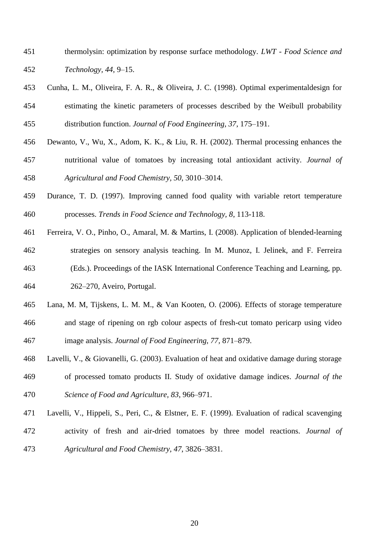- thermolysin: optimization by response surface methodology. *LWT - Food Science and Technology, 44*, 9–15.
- Cunha, L. M., Oliveira, F. A. R., & Oliveira, J. C. (1998). Optimal experimentaldesign for estimating the kinetic parameters of processes described by the Weibull probability distribution function. *Journal of Food Engineering, 37*, 175–191.
- Dewanto, V., Wu, X., Adom, K. K., & Liu, R. H. (2002). Thermal processing enhances the nutritional value of tomatoes by increasing total antioxidant activity. *Journal of*
- *Agricultural and Food Chemistry, 50*, 3010–3014.
- Durance, T. D. (1997). Improving canned food quality with variable retort temperature processes. *Trends in Food Science and Technology, 8*, 113-118.
- Ferreira, V. O., Pinho, O., Amaral, M. & Martins, I. (2008). Application of blended-learning strategies on sensory analysis teaching. In M. Munoz, I. Jelinek, and F. Ferreira
- (Eds.). Proceedings of the IASK International Conference Teaching and Learning, pp. 262–270, Aveiro, Portugal.
- Lana, M. M, Tijskens, L. M. M., & Van Kooten, O. (2006). Effects of storage temperature and stage of ripening on rgb colour aspects of fresh-cut tomato pericarp using video image analysis. *Journal of Food Engineering, 77,* 871–879.
- Lavelli, V., & Giovanelli, G. (2003). Evaluation of heat and oxidative damage during storage of processed tomato products II. Study of oxidative damage indices. *Journal of the Science of Food and Agriculture, 83*, 966–971.
- Lavelli, V., Hippeli, S., Peri, C., & Elstner, E. F. (1999). Evaluation of radical scavenging activity of fresh and air-dried tomatoes by three model reactions. *Journal of Agricultural and Food Chemistry, 47*, 3826–3831.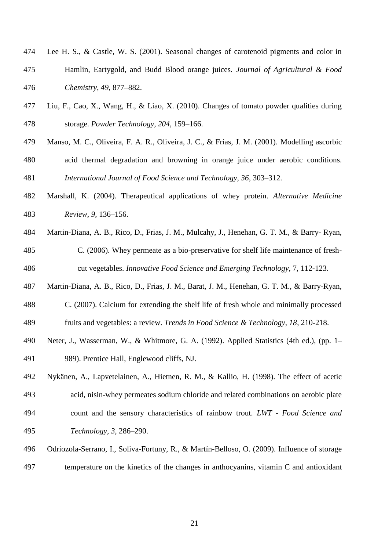- Lee H. S., & Castle, W. S. (2001). Seasonal changes of carotenoid pigments and color in Hamlin, Eartygold, and Budd Blood orange juices. *Journal of Agricultural & Food Chemistry*, *49,* 877–882.
- Liu, F., Cao, X., Wang, H., & Liao, X. (2010). Changes of tomato powder qualities during storage. *Powder Technology, 204*, 159–166.
- Manso, M. C., Oliveira, F. A. R., Oliveira, J. C., & Frías, J. M. (2001). Modelling ascorbic acid thermal degradation and browning in orange juice under aerobic conditions. *International Journal of Food Science and Technology, 36*, 303–312.
- Marshall, K. (2004). Therapeutical applications of whey protein. *Alternative Medicine Review, 9,* 136–156.
- Martin-Diana, A. B., Rico, D., Frias, J. M., Mulcahy, J., Henehan, G. T. M., & Barry- Ryan, C. (2006). Whey permeate as a bio-preservative for shelf life maintenance of fresh-cut vegetables. *Innovative Food Science and Emerging Technology,* 7*,* 112-123.
- Martin-Diana, A. B., Rico, D., Frias, J. M., Barat, J. M., Henehan, G. T. M., & Barry-Ryan,
- C. (2007). Calcium for extending the shelf life of fresh whole and minimally processed fruits and vegetables: a review. *Trends in Food Science & Technology, 18*, 210-218.
- Neter, J., Wasserman, W., & Whitmore, G. A. (1992). Applied Statistics (4th ed.), (pp. 1–
- 989). Prentice Hall, Englewood cliffs, NJ.
- Nykänen, A., Lapvetelainen, A., Hietnen, R. M., & Kallio, H. (1998). The effect of acetic acid, nisin-whey permeates sodium chloride and related combinations on aerobic plate count and the sensory characteristics of rainbow trout. *LWT - Food Science and Technology*, *3*, 286–290.
- Odriozola-Serrano, I., Soliva-Fortuny, R., & Martín-Belloso, O. (2009). Influence of storage temperature on the kinetics of the changes in anthocyanins, vitamin C and antioxidant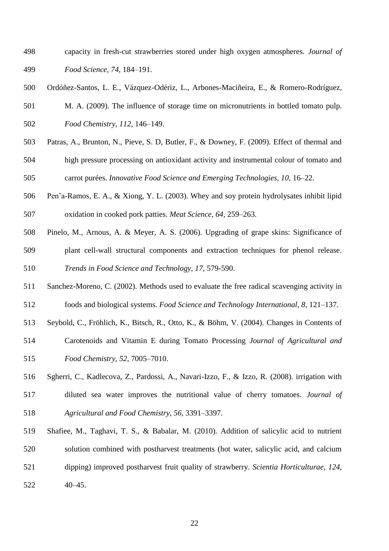- capacity in fresh-cut strawberries stored under high oxygen atmospheres. *Journal of Food Science, 74*, 184–191.
- Ordóñez-Santos, L. E., Vázquez-Odériz, L., Arbones-Maciñeira, E., & Romero-Rodríguez,
- M. A. (2009). The influence of storage time on micronutrients in bottled tomato pulp. *Food Chemistry, 112*, 146–149.
- Patras, A., Brunton, N., Pieve, S. D, Butler, F., & Downey, F. (2009). Effect of thermal and high pressure processing on antioxidant activity and instrumental colour of tomato and carrot purées. *Innovative Food Science and Emerging Technologies, 10*, 16–22.
- Pen˜a-Ramos, E. A., & Xiong, Y. L. (2003). Whey and soy protein hydrolysates inhibit lipid oxidation in cooked pork patties. *Meat Science, 64,* 259–263.
- Pinelo, M., Arnous, A. & Meyer, A. S. (2006). Upgrading of grape skins: Significance of plant cell-wall structural components and extraction techniques for phenol release. *Trends in Food Science and Technology, 17,* 579-590.
- Sanchez-Moreno, C. (2002). Methods used to evaluate the free radical scavenging activity in foods and biological systems. *Food Science and Technology International, 8,* 121–137.
- Seybold, C., Fröhlich, K., Bitsch, R., Otto, K., & Böhm, V. (2004). Changes in Contents of
- Carotenoids and Vitamin E during Tomato Processing *Journal of Agricultural and Food Chemistry*, *52*, 7005–7010.
- Sgherri, C., Kadlecova, Z., Pardossi, A., Navari-Izzo, F., & Izzo, R. (2008). irrigation with diluted sea water improves the nutritional value of cherry tomatoes. *Journal of Agricultural and Food Chemistry, 56,* 3391–3397.
- Shafiee, M., Taghavi, T. S., & Babalar, M. (2010). Addition of salicylic acid to nutrient solution combined with postharvest treatments (hot water, salicylic acid, and calcium dipping) improved postharvest fruit quality of strawberry. *Scientia Horticulturae, 124*, 40–45.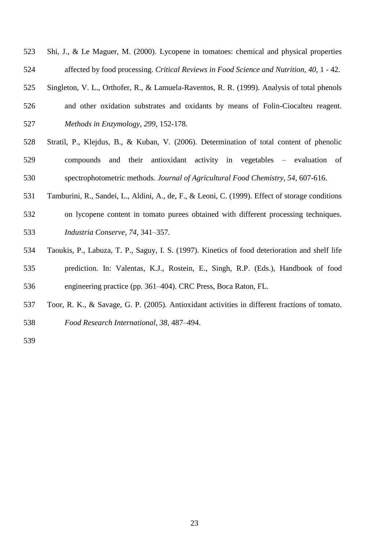- Shi, J., & Le Maguer, M. (2000). Lycopene in tomatoes: chemical and physical properties affected by food processing. *Critical Reviews in Food Science and Nutrition, 40*, 1 - 42.
- Singleton, V. L., Orthofer, R., & Lamuela-Raventos, R. R. (1999). Analysis of total phenols and other oxidation substrates and oxidants by means of Folin-Ciocalteu reagent. *Methods in Enzymology, 299,* 152-178.
- Stratil, P., Klejdus, B., & Kuban, V. (2006). Determination of total content of phenolic compounds and their antioxidant activity in vegetables – evaluation of spectrophotometric methods. *Journal of Agricultural Food Chemistry, 54,* 607-616.
- Tamburini, R., Sandei, L., Aldini, A., de, F., & Leoni, C. (1999). Effect of storage conditions
- on lycopene content in tomato purees obtained with different processing techniques. *Industria Conserve, 74*, 341–357.
- Taoukis, P., Labuza, T. P., Saguy, I. S. (1997). Kinetics of food deterioration and shelf life prediction. In: Valentas, K.J., Rostein, E., Singh, R.P. (Eds.), Handbook of food engineering practice (pp. 361–404). CRC Press, Boca Raton, FL.
- Toor, R. K., & Savage, G. P. (2005). Antioxidant activities in different fractions of tomato. *Food Research International, 38,* 487–494.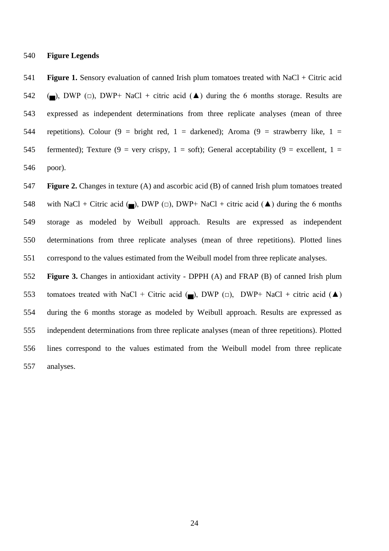**Figure Legends**

 **Figure 1.** Sensory evaluation of canned Irish plum tomatoes treated with NaCl + Citric acid 542 ( $\Box$ ), DWP ( $\Box$ ), DWP+ NaCl + citric acid ( $\blacktriangle$ ) during the 6 months storage. Results are expressed as independent determinations from three replicate analyses (mean of three 544 repetitions). Colour  $(9 = bright red, 1 = darkened)$ ; Aroma  $(9 = strawberry$  like,  $1 =$ 545 fermented); Texture (9 = very crispy, 1 = soft); General acceptability (9 = excellent, 1 = poor).

 **Figure 2.** Changes in texture (A) and ascorbic acid (B) of canned Irish plum tomatoes treated 548 with NaCl + Citric acid ( $\Box$ ), DWP ( $\Box$ ), DWP+ NaCl + citric acid ( $\blacktriangle$ ) during the 6 months storage as modeled by Weibull approach. Results are expressed as independent determinations from three replicate analyses (mean of three repetitions). Plotted lines correspond to the values estimated from the Weibull model from three replicate analyses.

 **Figure 3.** Changes in antioxidant activity - DPPH (A) and FRAP (B) of canned Irish plum 553 tomatoes treated with NaCl + Citric acid ( $\Box$ ), DWP ( $\Box$ ), DWP+ NaCl + citric acid ( $\blacktriangle$ ) during the 6 months storage as modeled by Weibull approach. Results are expressed as independent determinations from three replicate analyses (mean of three repetitions). Plotted lines correspond to the values estimated from the Weibull model from three replicate analyses.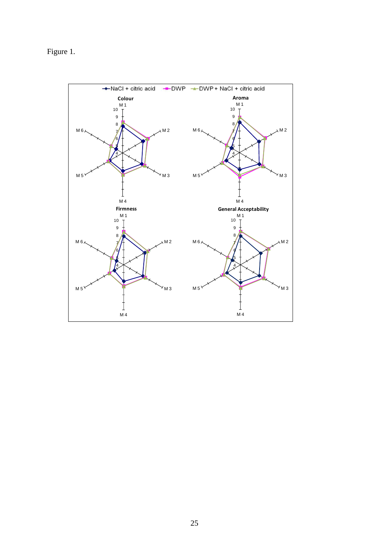Figure 1.

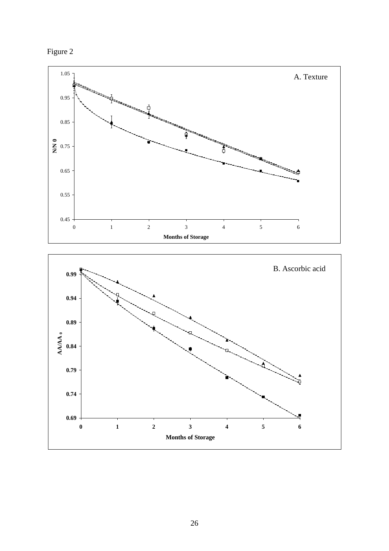![](_page_27_Figure_0.jpeg)

![](_page_27_Figure_1.jpeg)

![](_page_27_Figure_2.jpeg)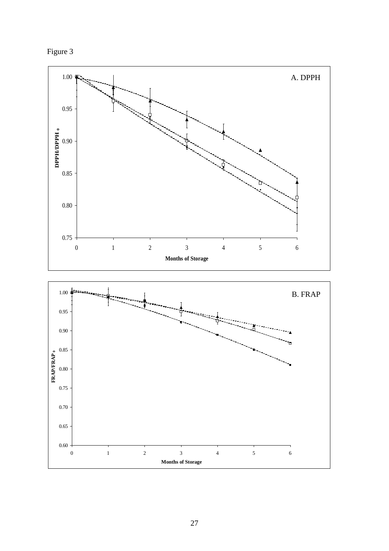![](_page_28_Figure_0.jpeg)

![](_page_28_Figure_1.jpeg)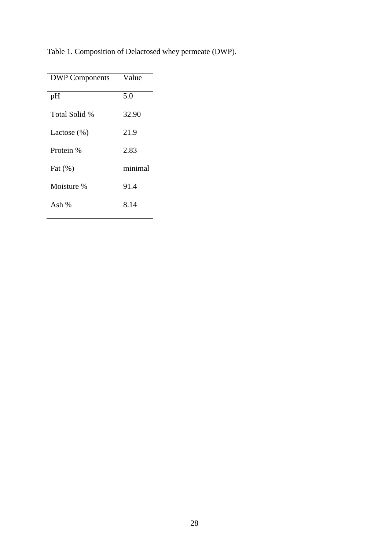| <b>DWP</b> Components | Value   |
|-----------------------|---------|
| pH                    | 5.0     |
| Total Solid %         | 32.90   |
| Lactose $(\%)$        | 21.9    |
| Protein %             | 2.83    |
| Fat $(\%)$            | minimal |
| Moisture %            | 91.4    |
| Ash $%$               | 8.14    |

Table 1. Composition of Delactosed whey permeate (DWP).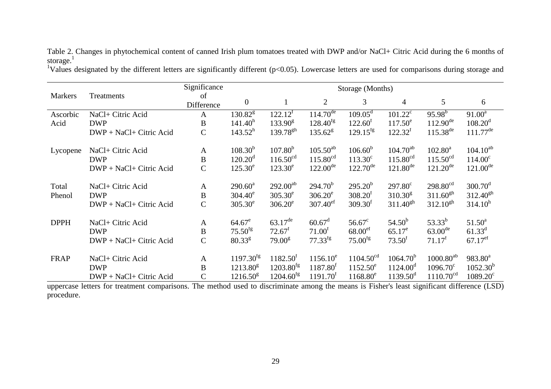| Significance   |                         |                  |                      | Storage (Months)        |                        |                        |                      |                       |                        |  |
|----------------|-------------------------|------------------|----------------------|-------------------------|------------------------|------------------------|----------------------|-----------------------|------------------------|--|
| <b>Markers</b> | Treatments              | of<br>Difference | $\overline{0}$       |                         | $\overline{2}$         | $\overline{3}$         | $\overline{4}$       | 5 <sup>5</sup>        | 6                      |  |
| Ascorbic       | NaCl+ Citric Acid       | A                | $130.82^8$           | $122.12^t$              | $114.70^{\text{de}}$   | $109.05^{\text{d}}$    | $101.22^{\circ}$     | $95.98^{b}$           | $91.00^a$              |  |
| Acid           | <b>DWP</b>              | $\, {\bf B}$     | 141.40 <sup>h</sup>  | $133.90^{\rm g}$        | $128.40^{fg}$          | $122.60^{\mathrm{f}}$  | $117.50^e$           | $112.90^{\text{de}}$  | $108.20^{\rm d}$       |  |
|                | DWP + NaCl+ Citric Acid | $\mathcal{C}$    | $143.52^h$           | $139.78^{gh}$           | $135.62^8$             | $129.15$ <sup>fg</sup> | $122.32^{f}$         | $115.38^{de}$         | $111.77$ <sup>de</sup> |  |
| Lycopene       | NaCl+ Citric Acid       | $\mathbf{A}$     | $108.30^{b}$         | $107.80^{b}$            | $105.50^{ab}$          | $106.60^{b}$           | $104.70^{ab}$        | $102.80^a$            | $104.10^{ab}$          |  |
|                | <b>DWP</b>              | $\, {\bf B}$     | $120.20^d$           | $116.50^{cd}$           | $115.80^{cd}$          | $113.30^{\circ}$       | $115.80^{cd}$        | $115.50^{cd}$         | $114.00^{\circ}$       |  |
|                | DWP + NaCl+ Citric Acid | $\mathcal{C}$    | $125.30^e$           | $123.30^e$              | $122.00^{\text{de}}$   | $122.70^{\text{de}}$   | $121.80^{\text{de}}$ | $121.20^{\text{de}}$  | $121.00^{\text{de}}$   |  |
| Total          | NaCl+ Citric Acid       | $\mathbf{A}$     | $290.60^a$           | $292.00^{ab}$           | $294.70^{b}$           | $295.20^{b}$           | $297.80^{\circ}$     | $298.80^{cd}$         | $300.70^{\rm d}$       |  |
| Phenol         | <b>DWP</b>              | B                | $304.40^e$           | $305.30^e$              | $306.20^e$             | 308.20 <sup>f</sup>    | $310.30^8$           | $311.60^{gh}$         | $312.40^{gh}$          |  |
|                | DWP + NaCl+ Citric Acid | $\mathcal{C}$    | $305.30^e$           | $306.20^e$              | $307.40$ <sup>ef</sup> | 309.30 <sup>f</sup>    | $311.40^{gh}$        | $312.10^{gh}$         | $314.10^h$             |  |
| <b>DPPH</b>    | NaCl+ Citric Acid       | $\mathbf{A}$     | $64.67^e$            | $63.17^{\text{de}}$     | $60.67^{\rm d}$        | $56.67^{\circ}$        | $54.50^{b}$          | $53.33^{b}$           | $51.50^a$              |  |
|                | <b>DWP</b>              | $\bf{B}$         | $75.50^{fg}$         | $72.67^f$               | 71.00 <sup>f</sup>     | 68.00 <sup>ef</sup>    | $65.17^e$            | $63.00^{de}$          | $61.33^{d}$            |  |
|                | DWP + NaCl+ Citric Acid | $\mathcal{C}$    | $80.33^{g}$          | 79.00 <sup>g</sup>      | $77.33^{fg}$           | $75.00^{fg}$           | 73.50 <sup>f</sup>   | $71.17^f$             | $67.17$ <sup>ef</sup>  |  |
| FRAP           | NaCl+ Citric Acid       | $\mathbf{A}$     | $1197.30^{fg}$       | $1182.50^{t}$           | $1156.10^e$            | 1104.50 <sup>cd</sup>  | $1064.70^{b}$        | $1000.80^{ab}$        | $983.80^a$             |  |
|                | <b>DWP</b>              | B                | $1213.80^8$          | $1203.80^{fg}$          | $1187.80^{f}$          | $1152.50^e$            | $1124.00^{\circ}$    | $1096.70^{\circ}$     | $1052.30^{b}$          |  |
|                | DWP + NaCl+ Citric Acid | $\overline{C}$   | $1216.50^{\text{g}}$ | $1204.60$ <sup>fg</sup> | 1191.70 <sup>t</sup>   | $1168.80^e$            | $1139.50^{\rm d}$    | 1110.70 <sup>cd</sup> | $1089.20^{\circ}$      |  |

Table 2. Changes in phytochemical content of canned Irish plum tomatoes treated with DWP and/or NaCl+ Citric Acid during the 6 months of storage. $<sup>1</sup>$ </sup>

<sup>1</sup>Values designated by the different letters are significantly different ( $p<0.05$ ). Lowercase letters are used for comparisons during storage and

uppercase letters for treatment comparisons. The method used to discriminate among the means is Fisher's least significant difference (LSD) procedure.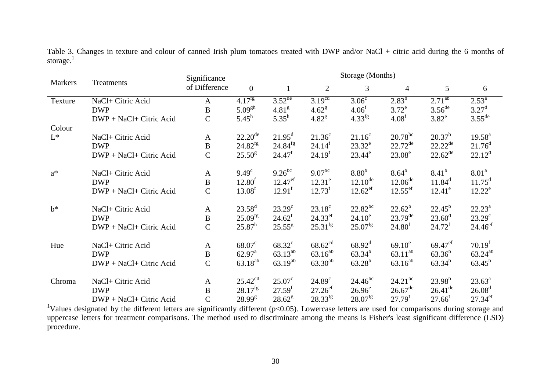|                | Treatments              | Significance  | Storage (Months)    |                      |                       |                       |                       |                       |                       |
|----------------|-------------------------|---------------|---------------------|----------------------|-----------------------|-----------------------|-----------------------|-----------------------|-----------------------|
| Markers        |                         | of Difference | $\mathbf{0}$        | 1                    | $\overline{2}$        | 3                     | $\overline{4}$        | 5                     | 6                     |
| Texture        | NaCl+ Citric Acid       | A             | $4.17^{fg}$         | $3.52$ <sup>de</sup> | 3.19 <sup>cd</sup>    | $3.06^{\overline{c}}$ | $2.83^{b}$            | $2.71^{ab}$           | $2.5\overline{3^a}$   |
|                | <b>DWP</b>              | $\, {\bf B}$  | $5.09^{gh}$         | 4.81 <sup>g</sup>    | $4.62^8$              | 4.06 <sup>f</sup>     | $3.72^e$              | $3.56$ <sup>de</sup>  | $3.27^{\rm d}$        |
|                | DWP + NaCl+ Citric Acid | $\mathcal{C}$ | $5.45^h$            | $5.35^h$             | $4.82^{8}$            | $4.33^{fg}$           | 4.08 <sup>f</sup>     | $3.82^e$              | $3.55^{\text{de}}$    |
| Colour         |                         |               |                     |                      |                       |                       |                       |                       |                       |
| $\mathrm{L}^*$ | NaCl+ Citric Acid       | $\mathbf{A}$  | $22.20^{\text{de}}$ | $21.95^{\text{d}}$   | $21.36^c$             | $21.16^c$             | $20.78^{bc}$          | $20.37^{b}$           | $19.58^{a}$           |
|                | <b>DWP</b>              | $\bf{B}$      | $24.82^{fg}$        | $24.84^{fg}$         | 24.14 <sup>f</sup>    | $23.32^e$             | $22.72^{\text{de}}$   | $22.22^{de}$          | $21.76^d$             |
|                | DWP + NaCl+ Citric Acid | $\mathcal{C}$ | $25.50^{\rm g}$     | $24.47^{\rm f}$      | 24.19 <sup>f</sup>    | $23.44^e$             | $23.08^e$             | $22.62^{\text{de}}$   | $22.12^d$             |
| $a^*$          | NaCl+ Citric Acid       | $\mathbf{A}$  | $9.49^\circ$        | $9.26^{bc}$          | $9.07^{bc}$           | 8.80 <sup>b</sup>     | $8.64^b$              | $8.41^{b}$            | 8.01 <sup>a</sup>     |
|                | <b>DWP</b>              | $\, {\bf B}$  | 12.80 <sup>f</sup>  | $12.47^{\rm ef}$     | $12.31^e$             | $12.10^{de}$          | $12.06^{de}$          | $11.84^d$             | $11.75^d$             |
|                | DWP + NaCl+ Citric Acid | $\mathsf{C}$  | 13.08 <sup>f</sup>  | $12.91^f$            | $12.73^f$             | $12.62^{ef}$          | $12.55$ <sup>ef</sup> | $12.41^e$             | $12.22^e$             |
|                |                         |               |                     |                      |                       |                       |                       |                       |                       |
| $b^*$          | NaCl+ Citric Acid       | $\mathbf{A}$  | $23.58^{\rm d}$     | $23.29^{\circ}$      | $23.18^c$             | $22.82^{bc}$          | $22.62^b$             | $22.45^b$             | $22.23^a$             |
|                | <b>DWP</b>              | $\, {\bf B}$  | $25.09^{fg}$        | $24.62^f$            | $24.33^{\text{ef}}$   | $24.10^e$             | $23.79^{de}$          | $23.60^{\rm d}$       | $23.29^{\circ}$       |
|                | DWP + NaCl+ Citric Acid | $\mathsf{C}$  | $25.87^h$           | $25.55^{\rm g}$      | $25.31$ <sup>fg</sup> | $25.07^{\text{fg}}$   | 24.80 <sup>f</sup>    | $24.72^{f}$           | $24.46^{\rm e f}$     |
| Hue            | NaCl+ Citric Acid       | $\mathbf{A}$  | $68.07^{\circ}$     | $68.32^{\circ}$      | $68.62^{cd}$          | $68.92^{\rm d}$       | $69.10^e$             | $69.47$ <sup>ef</sup> | 70.19 <sup>f</sup>    |
|                | <b>DWP</b>              | $\, {\bf B}$  | $62.97^{\text{a}}$  | $63.13^{ab}$         | $63.16^{ab}$          | $63.34^{b}$           | $63.11^{ab}$          | $63.36^{b}$           | $63.24^{ab}$          |
|                | DWP + NaCl+ Citric Acid | $\mathsf{C}$  | $63.18^{ab}$        | $63.19^{ab}$         | $63.30^{ab}$          | $63.28^{b}$           | $63.16^{ab}$          | $63.34^{b}$           | $63.45^{\rm b}$       |
|                |                         |               |                     |                      |                       |                       |                       |                       |                       |
| Chroma         | NaCl+ Citric Acid       | $\mathbf{A}$  | $25.42^{cd}$        | $25.07^{\circ}$      | $24.89^{\circ}$       | $24.46^{bc}$          | $24.21^{bc}$          | $23.98^{b}$           | $23.63^a$             |
|                | <b>DWP</b>              | $\, {\bf B}$  | $28.17^{fg}$        | 27.59 <sup>f</sup>   | $27.26$ <sup>ef</sup> | $26.96^e$             | $26.67^{\text{de}}$   | $26.41^{\text{de}}$   | 26.08 <sup>d</sup>    |
|                | DWP + NaCl+ Citric Acid | $\mathbf C$   | 28.99 <sup>g</sup>  | $28.62^g$            | $28.33^{fg}$          | 28.07 <sup>fg</sup>   | 27.79 <sup>f</sup>    | $27.66^{f}$           | $27.34$ <sup>ef</sup> |

Table 3. Changes in texture and colour of canned Irish plum tomatoes treated with DWP and/or NaCl + citric acid during the 6 months of storage. $1$ 

<sup>1</sup>Values designated by the different letters are significantly different ( $p<0.05$ ). Lowercase letters are used for comparisons during storage and uppercase letters for treatment comparisons. The method used to discriminate among the means is Fisher's least significant difference (LSD) procedure.